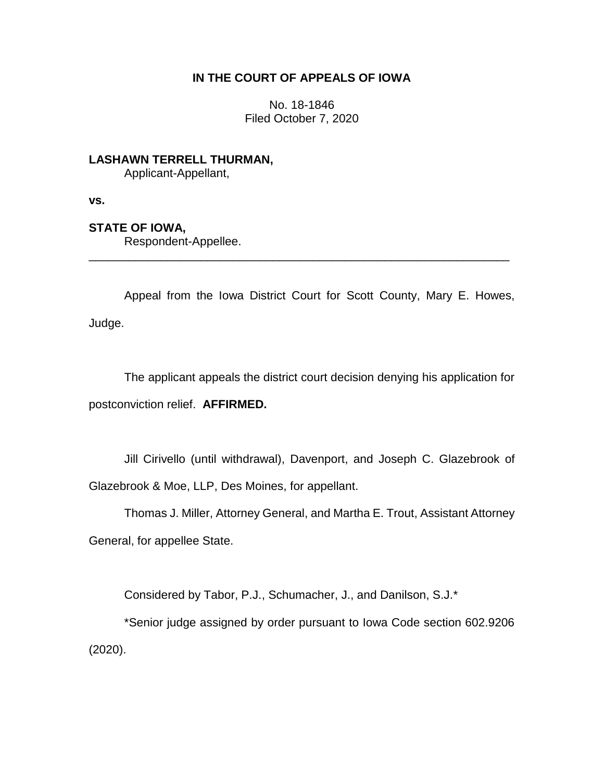# **IN THE COURT OF APPEALS OF IOWA**

No. 18-1846 Filed October 7, 2020

**LASHAWN TERRELL THURMAN,** Applicant-Appellant,

**vs.**

### **STATE OF IOWA,**

Respondent-Appellee.

Appeal from the Iowa District Court for Scott County, Mary E. Howes, Judge.

\_\_\_\_\_\_\_\_\_\_\_\_\_\_\_\_\_\_\_\_\_\_\_\_\_\_\_\_\_\_\_\_\_\_\_\_\_\_\_\_\_\_\_\_\_\_\_\_\_\_\_\_\_\_\_\_\_\_\_\_\_\_\_\_

The applicant appeals the district court decision denying his application for postconviction relief. **AFFIRMED.**

Jill Cirivello (until withdrawal), Davenport, and Joseph C. Glazebrook of Glazebrook & Moe, LLP, Des Moines, for appellant.

Thomas J. Miller, Attorney General, and Martha E. Trout, Assistant Attorney General, for appellee State.

Considered by Tabor, P.J., Schumacher, J., and Danilson, S.J.\*

\*Senior judge assigned by order pursuant to Iowa Code section 602.9206 (2020).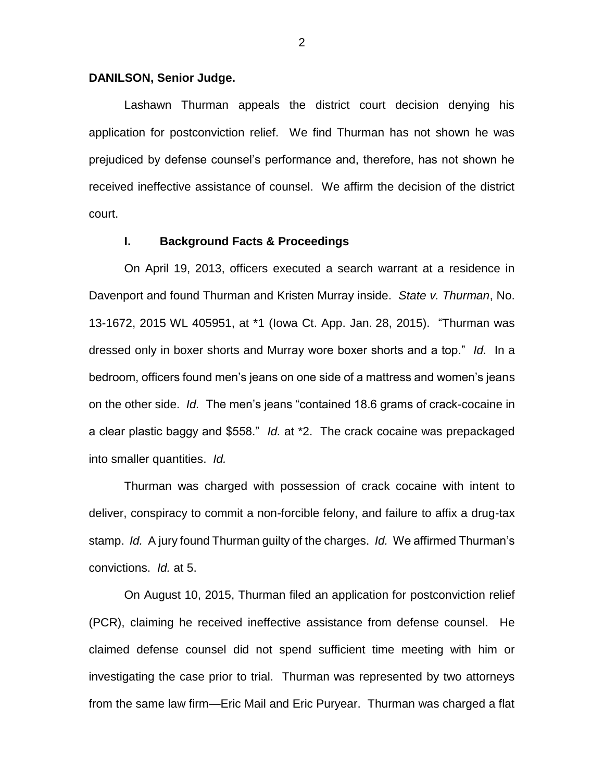#### **DANILSON, Senior Judge.**

Lashawn Thurman appeals the district court decision denying his application for postconviction relief. We find Thurman has not shown he was prejudiced by defense counsel's performance and, therefore, has not shown he received ineffective assistance of counsel. We affirm the decision of the district court.

### **I. Background Facts & Proceedings**

On April 19, 2013, officers executed a search warrant at a residence in Davenport and found Thurman and Kristen Murray inside. *State v. Thurman*, No. 13-1672, 2015 WL 405951, at \*1 (Iowa Ct. App. Jan. 28, 2015). "Thurman was dressed only in boxer shorts and Murray wore boxer shorts and a top." *Id.* In a bedroom, officers found men's jeans on one side of a mattress and women's jeans on the other side. *Id.* The men's jeans "contained 18.6 grams of crack-cocaine in a clear plastic baggy and \$558." *Id.* at \*2. The crack cocaine was prepackaged into smaller quantities. *Id.*

Thurman was charged with possession of crack cocaine with intent to deliver, conspiracy to commit a non-forcible felony, and failure to affix a drug-tax stamp. *Id.* A jury found Thurman guilty of the charges. *Id.* We affirmed Thurman's convictions. *Id.* at 5.

On August 10, 2015, Thurman filed an application for postconviction relief (PCR), claiming he received ineffective assistance from defense counsel. He claimed defense counsel did not spend sufficient time meeting with him or investigating the case prior to trial. Thurman was represented by two attorneys from the same law firm—Eric Mail and Eric Puryear. Thurman was charged a flat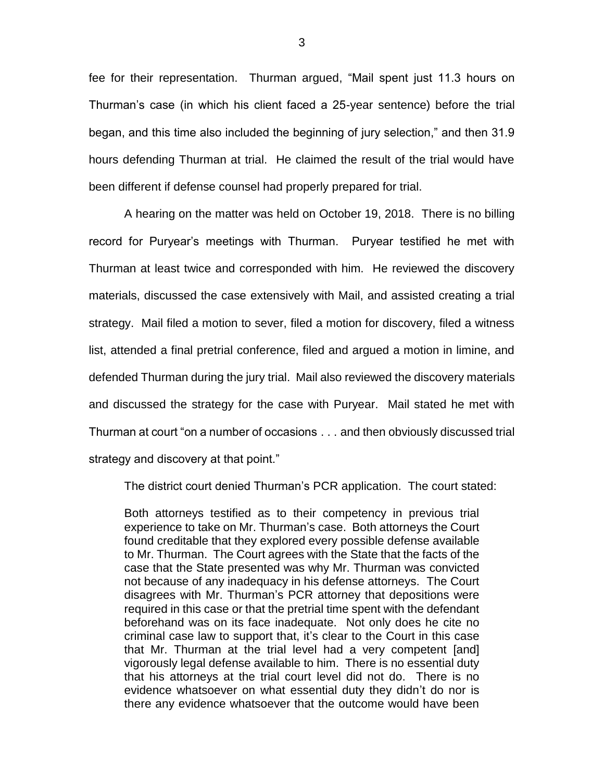fee for their representation. Thurman argued, "Mail spent just 11.3 hours on Thurman's case (in which his client faced a 25-year sentence) before the trial began, and this time also included the beginning of jury selection," and then 31.9 hours defending Thurman at trial. He claimed the result of the trial would have been different if defense counsel had properly prepared for trial.

A hearing on the matter was held on October 19, 2018. There is no billing record for Puryear's meetings with Thurman. Puryear testified he met with Thurman at least twice and corresponded with him. He reviewed the discovery materials, discussed the case extensively with Mail, and assisted creating a trial strategy. Mail filed a motion to sever, filed a motion for discovery, filed a witness list, attended a final pretrial conference, filed and argued a motion in limine, and defended Thurman during the jury trial. Mail also reviewed the discovery materials and discussed the strategy for the case with Puryear. Mail stated he met with Thurman at court "on a number of occasions . . . and then obviously discussed trial strategy and discovery at that point."

The district court denied Thurman's PCR application. The court stated:

Both attorneys testified as to their competency in previous trial experience to take on Mr. Thurman's case. Both attorneys the Court found creditable that they explored every possible defense available to Mr. Thurman. The Court agrees with the State that the facts of the case that the State presented was why Mr. Thurman was convicted not because of any inadequacy in his defense attorneys. The Court disagrees with Mr. Thurman's PCR attorney that depositions were required in this case or that the pretrial time spent with the defendant beforehand was on its face inadequate. Not only does he cite no criminal case law to support that, it's clear to the Court in this case that Mr. Thurman at the trial level had a very competent [and] vigorously legal defense available to him. There is no essential duty that his attorneys at the trial court level did not do. There is no evidence whatsoever on what essential duty they didn't do nor is there any evidence whatsoever that the outcome would have been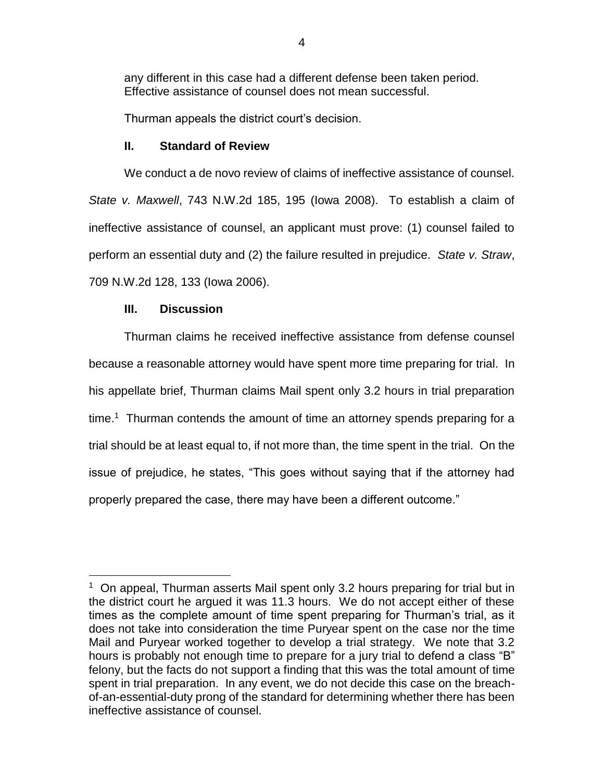any different in this case had a different defense been taken period. Effective assistance of counsel does not mean successful.

Thurman appeals the district court's decision.

### **II. Standard of Review**

We conduct a de novo review of claims of ineffective assistance of counsel. *State v. Maxwell*, 743 N.W.2d 185, 195 (Iowa 2008). To establish a claim of ineffective assistance of counsel, an applicant must prove: (1) counsel failed to perform an essential duty and (2) the failure resulted in prejudice. *State v. Straw*, 709 N.W.2d 128, 133 (Iowa 2006).

# **III. Discussion**

 $\overline{a}$ 

Thurman claims he received ineffective assistance from defense counsel because a reasonable attorney would have spent more time preparing for trial. In his appellate brief, Thurman claims Mail spent only 3.2 hours in trial preparation time.<sup>1</sup> Thurman contends the amount of time an attorney spends preparing for a trial should be at least equal to, if not more than, the time spent in the trial. On the issue of prejudice, he states, "This goes without saying that if the attorney had properly prepared the case, there may have been a different outcome."

<sup>&</sup>lt;sup>1</sup> On appeal, Thurman asserts Mail spent only 3.2 hours preparing for trial but in the district court he argued it was 11.3 hours. We do not accept either of these times as the complete amount of time spent preparing for Thurman's trial, as it does not take into consideration the time Puryear spent on the case nor the time Mail and Puryear worked together to develop a trial strategy. We note that 3.2 hours is probably not enough time to prepare for a jury trial to defend a class "B" felony, but the facts do not support a finding that this was the total amount of time spent in trial preparation. In any event, we do not decide this case on the breachof-an-essential-duty prong of the standard for determining whether there has been ineffective assistance of counsel.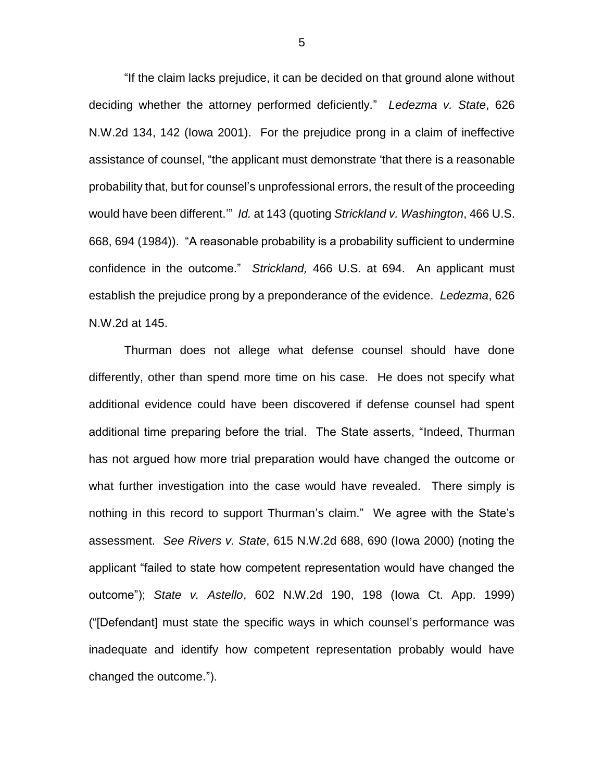"If the claim lacks prejudice, it can be decided on that ground alone without deciding whether the attorney performed deficiently." *Ledezma v. State*, 626 N.W.2d 134, 142 (Iowa 2001). For the prejudice prong in a claim of ineffective assistance of counsel, "the applicant must demonstrate 'that there is a reasonable probability that, but for counsel's unprofessional errors, the result of the proceeding would have been different.'" *Id.* at 143 (quoting *Strickland v. Washington*, 466 U.S. 668, 694 (1984)). "A reasonable probability is a probability sufficient to undermine confidence in the outcome." *Strickland,* 466 U.S. at 694. An applicant must establish the prejudice prong by a preponderance of the evidence. *Ledezma*, 626 N.W.2d at 145.

Thurman does not allege what defense counsel should have done differently, other than spend more time on his case. He does not specify what additional evidence could have been discovered if defense counsel had spent additional time preparing before the trial. The State asserts, "Indeed, Thurman has not argued how more trial preparation would have changed the outcome or what further investigation into the case would have revealed. There simply is nothing in this record to support Thurman's claim." We agree with the State's assessment. *See Rivers v. State*, 615 N.W.2d 688, 690 (Iowa 2000) (noting the applicant "failed to state how competent representation would have changed the outcome"); *State v. Astello*, 602 N.W.2d 190, 198 (Iowa Ct. App. 1999) ("[Defendant] must state the specific ways in which counsel's performance was inadequate and identify how competent representation probably would have changed the outcome.").